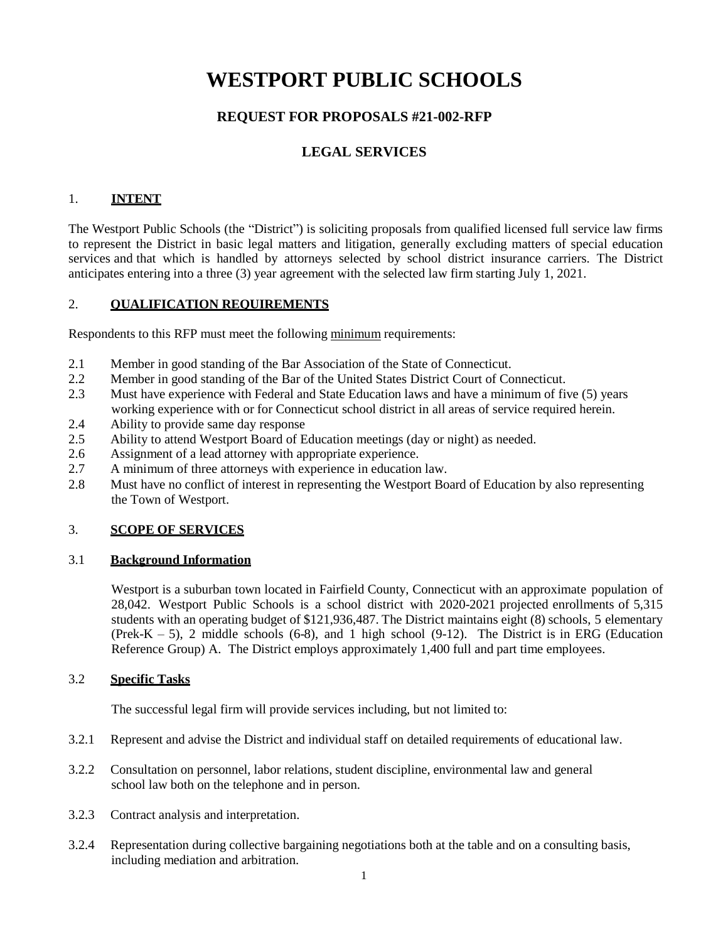# **WESTPORT PUBLIC SCHOOLS**

# **REQUEST FOR PROPOSALS #21-002-RFP**

# **LEGAL SERVICES**

# 1. **INTENT**

The Westport Public Schools (the "District") is soliciting proposals from qualified licensed full service law firms to represent the District in basic legal matters and litigation, generally excluding matters of special education services and that which is handled by attorneys selected by school district insurance carriers. The District anticipates entering into a three (3) year agreement with the selected law firm starting July 1, 2021.

## 2. **QUALIFICATION REQUIREMENTS**

Respondents to this RFP must meet the following minimum requirements:

- 2.1 Member in good standing of the Bar Association of the State of Connecticut.
- 2.2 Member in good standing of the Bar of the United States District Court of Connecticut.
- 2.3 Must have experience with Federal and State Education laws and have a minimum of five (5) years working experience with or for Connecticut school district in all areas of service required herein.
- 2.4 Ability to provide same day response
- 2.5 Ability to attend Westport Board of Education meetings (day or night) as needed.
- 2.6 Assignment of a lead attorney with appropriate experience.
- 2.7 A minimum of three attorneys with experience in education law.
- 2.8 Must have no conflict of interest in representing the Westport Board of Education by also representing the Town of Westport.

### 3. **SCOPE OF SERVICES**

### 3.1 **Background Information**

Westport is a suburban town located in Fairfield County, Connecticut with an approximate population of 28,042. Westport Public Schools is a school district with 2020-2021 projected enrollments of 5,315 students with an operating budget of \$121,936,487. The District maintains eight (8) schools, 5 elementary (Prek-K – 5), 2 middle schools (6-8), and 1 high school (9-12). The District is in ERG (Education Reference Group) A. The District employs approximately 1,400 full and part time employees.

### 3.2 **Specific Tasks**

The successful legal firm will provide services including, but not limited to:

- 3.2.1 Represent and advise the District and individual staff on detailed requirements of educational law.
- 3.2.2 Consultation on personnel, labor relations, student discipline, environmental law and general school law both on the telephone and in person.
- 3.2.3 Contract analysis and interpretation.
- 3.2.4 Representation during collective bargaining negotiations both at the table and on a consulting basis, including mediation and arbitration.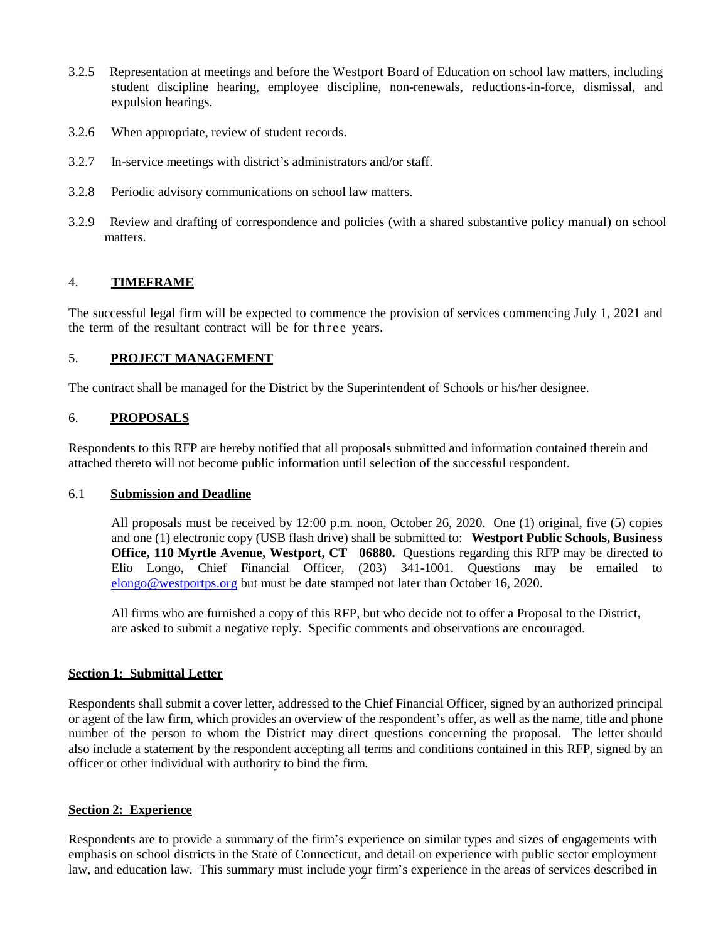- 3.2.5 Representation at meetings and before the Westport Board of Education on school law matters, including student discipline hearing, employee discipline, non-renewals, reductions-in-force, dismissal, and expulsion hearings.
- 3.2.6 When appropriate, review of student records.
- 3.2.7 In-service meetings with district's administrators and/or staff.
- 3.2.8 Periodic advisory communications on school law matters.
- 3.2.9 Review and drafting of correspondence and policies (with a shared substantive policy manual) on school matters.

### 4. **TIMEFRAME**

The successful legal firm will be expected to commence the provision of services commencing July 1, 2021 and the term of the resultant contract will be for three years.

#### 5. **PROJECT MANAGEMENT**

The contract shall be managed for the District by the Superintendent of Schools or his/her designee.

#### 6. **PROPOSALS**

Respondents to this RFP are hereby notified that all proposals submitted and information contained therein and attached thereto will not become public information until selection of the successful respondent.

#### 6.1 **Submission and Deadline**

All proposals must be received by 12:00 p.m. noon, October 26, 2020. One (1) original, five (5) copies and one (1) electronic copy (USB flash drive) shall be submitted to: **Westport Public Schools, Business Office, 110 Myrtle Avenue, Westport, CT 06880.** Questions regarding this RFP may be directed to Elio Longo, Chief Financial Officer, (203) 341-1001. Questions may be emailed to [elongo@westportps.org](mailto:elongo@westportps.org) but must be date stamped not later than October 16, 2020.

All firms who are furnished a copy of this RFP, but who decide not to offer a Proposal to the District, are asked to submit a negative reply. Specific comments and observations are encouraged.

### **Section 1: Submittal Letter**

Respondents shall submit a cover letter, addressed to the Chief Financial Officer, signed by an authorized principal or agent of the law firm, which provides an overview of the respondent's offer, as well as the name, title and phone number of the person to whom the District may direct questions concerning the proposal. The letter should also include a statement by the respondent accepting all terms and conditions contained in this RFP, signed by an officer or other individual with authority to bind the firm.

#### **Section 2: Experience**

law, and education law. This summary must include your firm's experience in the areas of services described in Respondents are to provide a summary of the firm's experience on similar types and sizes of engagements with emphasis on school districts in the State of Connecticut, and detail on experience with public sector employment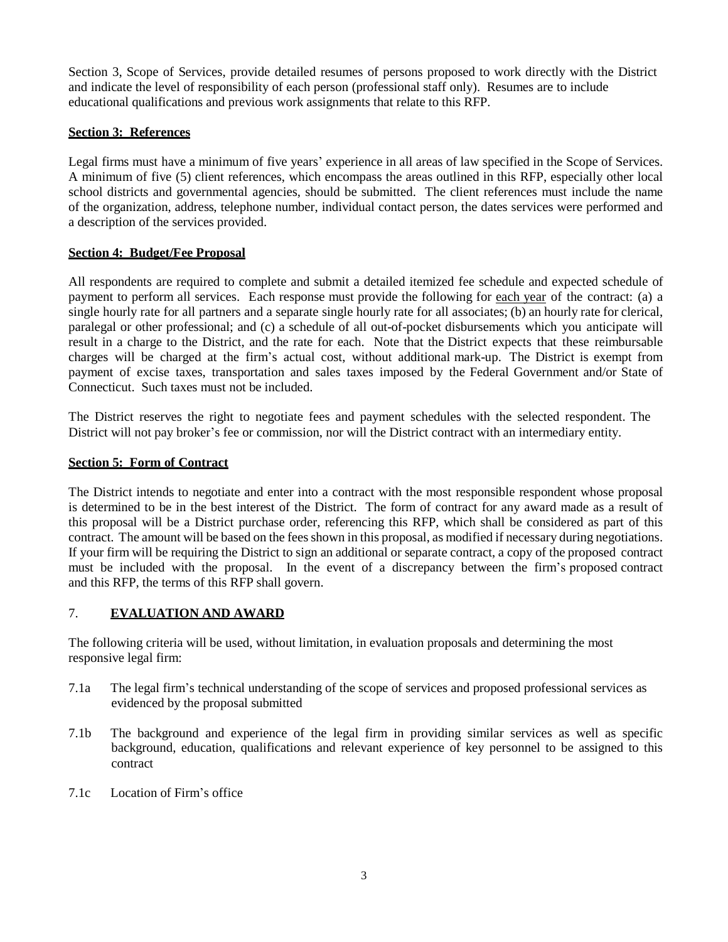Section 3, Scope of Services, provide detailed resumes of persons proposed to work directly with the District and indicate the level of responsibility of each person (professional staff only). Resumes are to include educational qualifications and previous work assignments that relate to this RFP.

## **Section 3: References**

Legal firms must have a minimum of five years' experience in all areas of law specified in the Scope of Services. A minimum of five (5) client references, which encompass the areas outlined in this RFP, especially other local school districts and governmental agencies, should be submitted. The client references must include the name of the organization, address, telephone number, individual contact person, the dates services were performed and a description of the services provided.

### **Section 4: Budget/Fee Proposal**

All respondents are required to complete and submit a detailed itemized fee schedule and expected schedule of payment to perform all services. Each response must provide the following for each year of the contract: (a) a single hourly rate for all partners and a separate single hourly rate for all associates; (b) an hourly rate for clerical, paralegal or other professional; and (c) a schedule of all out-of-pocket disbursements which you anticipate will result in a charge to the District, and the rate for each. Note that the District expects that these reimbursable charges will be charged at the firm's actual cost, without additional mark-up. The District is exempt from payment of excise taxes, transportation and sales taxes imposed by the Federal Government and/or State of Connecticut. Such taxes must not be included.

The District reserves the right to negotiate fees and payment schedules with the selected respondent. The District will not pay broker's fee or commission, nor will the District contract with an intermediary entity.

### **Section 5: Form of Contract**

The District intends to negotiate and enter into a contract with the most responsible respondent whose proposal is determined to be in the best interest of the District. The form of contract for any award made as a result of this proposal will be a District purchase order, referencing this RFP, which shall be considered as part of this contract. The amount will be based on the fees shown in this proposal, as modified if necessary during negotiations. If your firm will be requiring the District to sign an additional or separate contract, a copy of the proposed contract must be included with the proposal. In the event of a discrepancy between the firm's proposed contract and this RFP, the terms of this RFP shall govern.

### 7. **EVALUATION AND AWARD**

The following criteria will be used, without limitation, in evaluation proposals and determining the most responsive legal firm:

- 7.1a The legal firm's technical understanding of the scope of services and proposed professional services as evidenced by the proposal submitted
- 7.1b The background and experience of the legal firm in providing similar services as well as specific background, education, qualifications and relevant experience of key personnel to be assigned to this contract
- 7.1c Location of Firm's office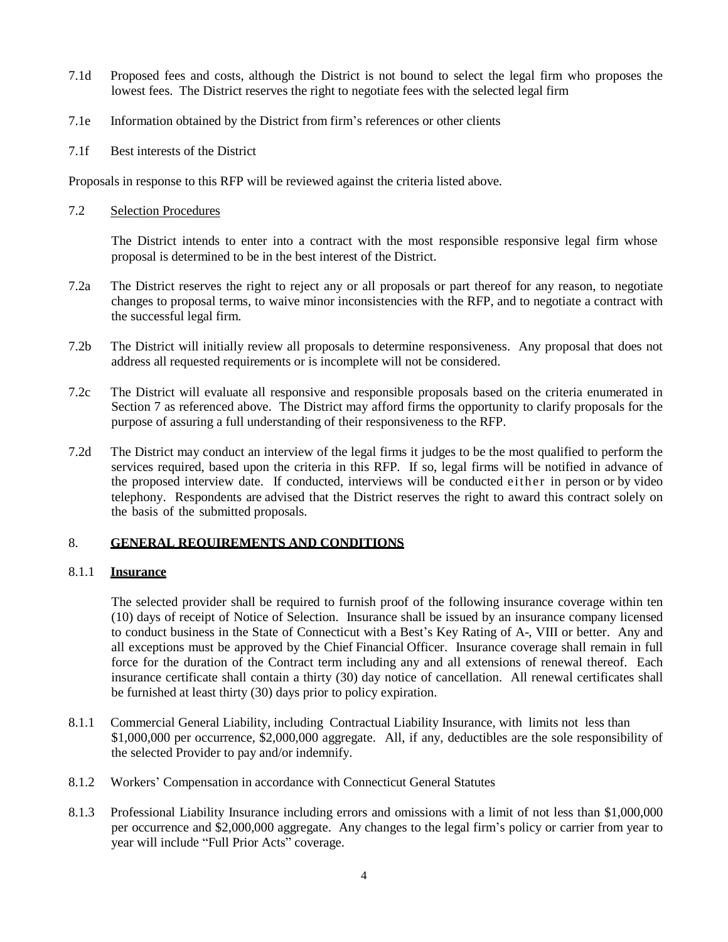- 7.1d Proposed fees and costs, although the District is not bound to select the legal firm who proposes the lowest fees. The District reserves the right to negotiate fees with the selected legal firm
- 7.1e Information obtained by the District from firm's references or other clients
- 7.1f Best interests of the District

Proposals in response to this RFP will be reviewed against the criteria listed above.

#### 7.2 Selection Procedures

The District intends to enter into a contract with the most responsible responsive legal firm whose proposal is determined to be in the best interest of the District.

- 7.2a The District reserves the right to reject any or all proposals or part thereof for any reason, to negotiate changes to proposal terms, to waive minor inconsistencies with the RFP, and to negotiate a contract with the successful legal firm.
- 7.2b The District will initially review all proposals to determine responsiveness. Any proposal that does not address all requested requirements or is incomplete will not be considered.
- 7.2c The District will evaluate all responsive and responsible proposals based on the criteria enumerated in Section 7 as referenced above. The District may afford firms the opportunity to clarify proposals for the purpose of assuring a full understanding of their responsiveness to the RFP.
- 7.2d The District may conduct an interview of the legal firms it judges to be the most qualified to perform the services required, based upon the criteria in this RFP. If so, legal firms will be notified in advance of the proposed interview date. If conducted, interviews will be conducted either in person or by video telephony. Respondents are advised that the District reserves the right to award this contract solely on the basis of the submitted proposals.

### 8. **GENERAL REQUIREMENTS AND CONDITIONS**

### 8.1.1 **Insurance**

The selected provider shall be required to furnish proof of the following insurance coverage within ten (10) days of receipt of Notice of Selection. Insurance shall be issued by an insurance company licensed to conduct business in the State of Connecticut with a Best's Key Rating of A-, VIII or better. Any and all exceptions must be approved by the Chief Financial Officer. Insurance coverage shall remain in full force for the duration of the Contract term including any and all extensions of renewal thereof. Each insurance certificate shall contain a thirty (30) day notice of cancellation. All renewal certificates shall be furnished at least thirty (30) days prior to policy expiration.

- 8.1.1 Commercial General Liability, including Contractual Liability Insurance, with limits not less than \$1,000,000 per occurrence, \$2,000,000 aggregate. All, if any, deductibles are the sole responsibility of the selected Provider to pay and/or indemnify.
- 8.1.2 Workers' Compensation in accordance with Connecticut General Statutes
- 8.1.3 Professional Liability Insurance including errors and omissions with a limit of not less than \$1,000,000 per occurrence and \$2,000,000 aggregate. Any changes to the legal firm's policy or carrier from year to year will include "Full Prior Acts" coverage.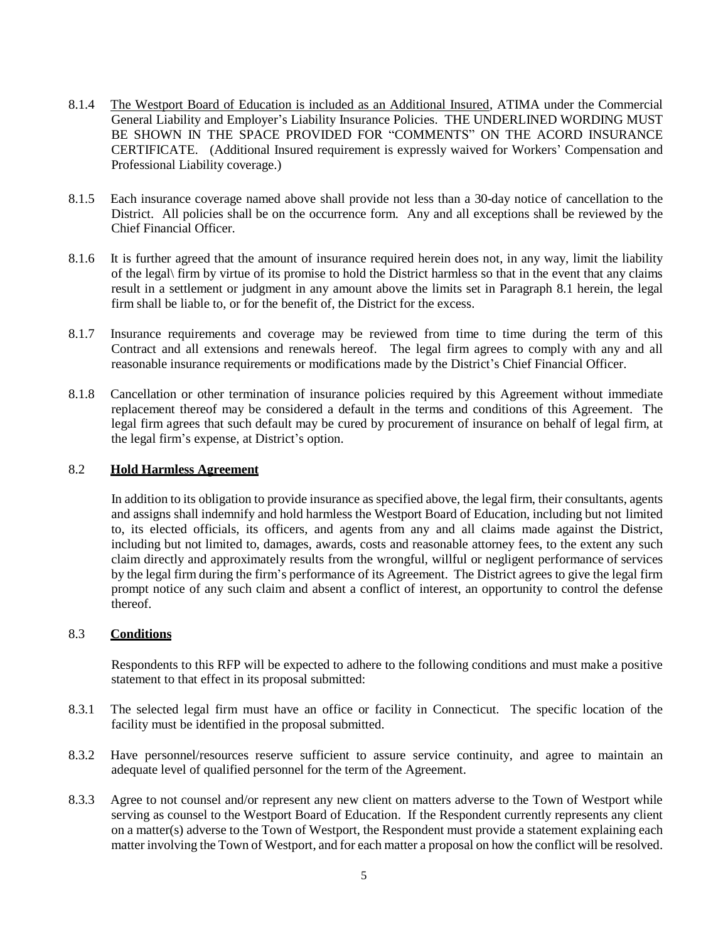- 8.1.4 The Westport Board of Education is included as an Additional Insured, ATIMA under the Commercial General Liability and Employer's Liability Insurance Policies. THE UNDERLINED WORDING MUST BE SHOWN IN THE SPACE PROVIDED FOR "COMMENTS" ON THE ACORD INSURANCE CERTIFICATE. (Additional Insured requirement is expressly waived for Workers' Compensation and Professional Liability coverage.)
- 8.1.5 Each insurance coverage named above shall provide not less than a 30-day notice of cancellation to the District. All policies shall be on the occurrence form. Any and all exceptions shall be reviewed by the Chief Financial Officer.
- 8.1.6 It is further agreed that the amount of insurance required herein does not, in any way, limit the liability of the legal\ firm by virtue of its promise to hold the District harmless so that in the event that any claims result in a settlement or judgment in any amount above the limits set in Paragraph 8.1 herein, the legal firm shall be liable to, or for the benefit of, the District for the excess.
- 8.1.7 Insurance requirements and coverage may be reviewed from time to time during the term of this Contract and all extensions and renewals hereof. The legal firm agrees to comply with any and all reasonable insurance requirements or modifications made by the District's Chief Financial Officer.
- 8.1.8 Cancellation or other termination of insurance policies required by this Agreement without immediate replacement thereof may be considered a default in the terms and conditions of this Agreement. The legal firm agrees that such default may be cured by procurement of insurance on behalf of legal firm, at the legal firm's expense, at District's option.

#### 8.2 **Hold Harmless Agreement**

In addition to its obligation to provide insurance as specified above, the legal firm, their consultants, agents and assigns shall indemnify and hold harmless the Westport Board of Education, including but not limited to, its elected officials, its officers, and agents from any and all claims made against the District, including but not limited to, damages, awards, costs and reasonable attorney fees, to the extent any such claim directly and approximately results from the wrongful, willful or negligent performance of services by the legal firm during the firm's performance of its Agreement. The District agrees to give the legal firm prompt notice of any such claim and absent a conflict of interest, an opportunity to control the defense thereof.

#### 8.3 **Conditions**

Respondents to this RFP will be expected to adhere to the following conditions and must make a positive statement to that effect in its proposal submitted:

- 8.3.1 The selected legal firm must have an office or facility in Connecticut. The specific location of the facility must be identified in the proposal submitted.
- 8.3.2 Have personnel/resources reserve sufficient to assure service continuity, and agree to maintain an adequate level of qualified personnel for the term of the Agreement.
- 8.3.3 Agree to not counsel and/or represent any new client on matters adverse to the Town of Westport while serving as counsel to the Westport Board of Education. If the Respondent currently represents any client on a matter(s) adverse to the Town of Westport, the Respondent must provide a statement explaining each matter involving the Town of Westport, and for each matter a proposal on how the conflict will be resolved.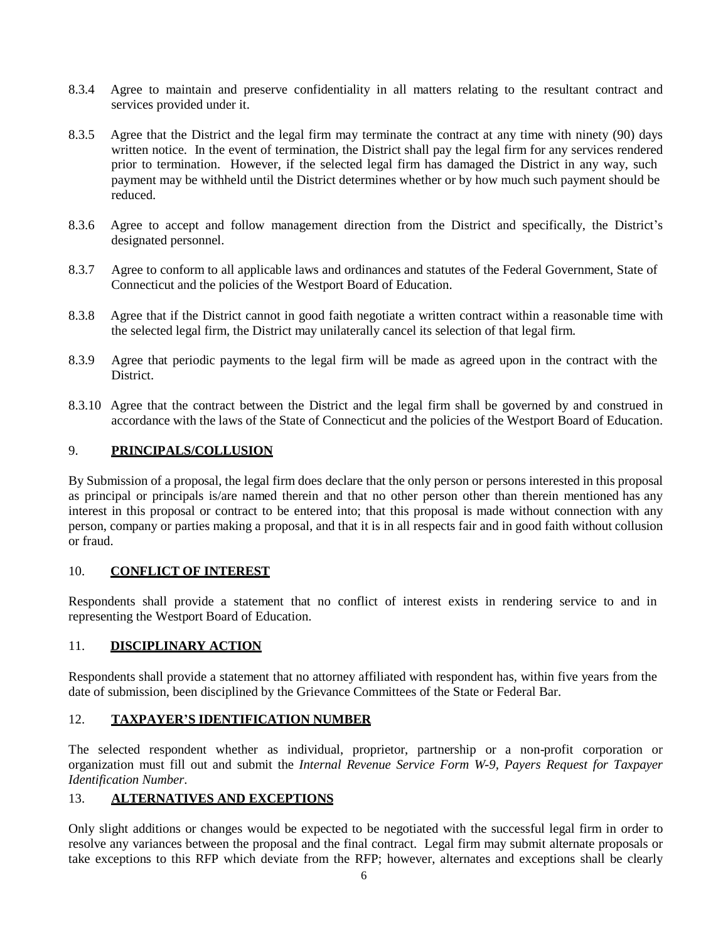- 8.3.4 Agree to maintain and preserve confidentiality in all matters relating to the resultant contract and services provided under it.
- 8.3.5 Agree that the District and the legal firm may terminate the contract at any time with ninety (90) days written notice. In the event of termination, the District shall pay the legal firm for any services rendered prior to termination. However, if the selected legal firm has damaged the District in any way, such payment may be withheld until the District determines whether or by how much such payment should be reduced.
- 8.3.6 Agree to accept and follow management direction from the District and specifically, the District's designated personnel.
- 8.3.7 Agree to conform to all applicable laws and ordinances and statutes of the Federal Government, State of Connecticut and the policies of the Westport Board of Education.
- 8.3.8 Agree that if the District cannot in good faith negotiate a written contract within a reasonable time with the selected legal firm, the District may unilaterally cancel its selection of that legal firm.
- 8.3.9 Agree that periodic payments to the legal firm will be made as agreed upon in the contract with the District.
- 8.3.10 Agree that the contract between the District and the legal firm shall be governed by and construed in accordance with the laws of the State of Connecticut and the policies of the Westport Board of Education.

### 9. **PRINCIPALS/COLLUSION**

By Submission of a proposal, the legal firm does declare that the only person or persons interested in this proposal as principal or principals is/are named therein and that no other person other than therein mentioned has any interest in this proposal or contract to be entered into; that this proposal is made without connection with any person, company or parties making a proposal, and that it is in all respects fair and in good faith without collusion or fraud.

### 10. **CONFLICT OF INTEREST**

Respondents shall provide a statement that no conflict of interest exists in rendering service to and in representing the Westport Board of Education.

### 11. **DISCIPLINARY ACTION**

Respondents shall provide a statement that no attorney affiliated with respondent has, within five years from the date of submission, been disciplined by the Grievance Committees of the State or Federal Bar.

### 12. **TAXPAYER'S IDENTIFICATION NUMBER**

The selected respondent whether as individual, proprietor, partnership or a non-profit corporation or organization must fill out and submit the *Internal Revenue Service Form W-9, Payers Request for Taxpayer Identification Number*.

# 13. **ALTERNATIVES AND EXCEPTIONS**

Only slight additions or changes would be expected to be negotiated with the successful legal firm in order to resolve any variances between the proposal and the final contract. Legal firm may submit alternate proposals or take exceptions to this RFP which deviate from the RFP; however, alternates and exceptions shall be clearly